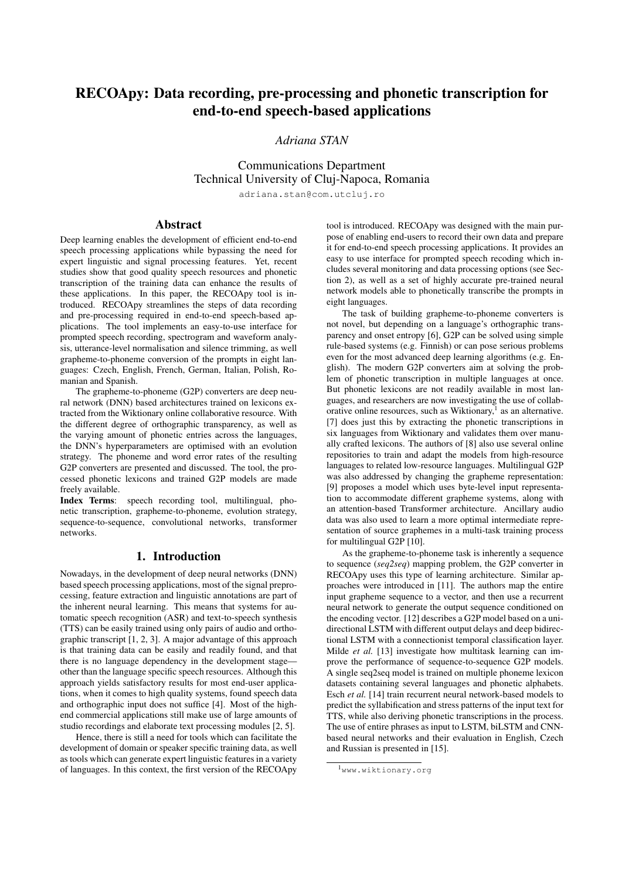# RECOApy: Data recording, pre-processing and phonetic transcription for end-to-end speech-based applications

# *Adriana STAN*

Communications Department Technical University of Cluj-Napoca, Romania

adriana.stan@com.utcluj.ro

# Abstract

Deep learning enables the development of efficient end-to-end speech processing applications while bypassing the need for expert linguistic and signal processing features. Yet, recent studies show that good quality speech resources and phonetic transcription of the training data can enhance the results of these applications. In this paper, the RECOApy tool is introduced. RECOApy streamlines the steps of data recording and pre-processing required in end-to-end speech-based applications. The tool implements an easy-to-use interface for prompted speech recording, spectrogram and waveform analysis, utterance-level normalisation and silence trimming, as well grapheme-to-phoneme conversion of the prompts in eight languages: Czech, English, French, German, Italian, Polish, Romanian and Spanish.

The grapheme-to-phoneme (G2P) converters are deep neural network (DNN) based architectures trained on lexicons extracted from the Wiktionary online collaborative resource. With the different degree of orthographic transparency, as well as the varying amount of phonetic entries across the languages, the DNN's hyperparameters are optimised with an evolution strategy. The phoneme and word error rates of the resulting G2P converters are presented and discussed. The tool, the processed phonetic lexicons and trained G2P models are made freely available.

Index Terms: speech recording tool, multilingual, phonetic transcription, grapheme-to-phoneme, evolution strategy, sequence-to-sequence, convolutional networks, transformer networks.

## 1. Introduction

Nowadays, in the development of deep neural networks (DNN) based speech processing applications, most of the signal preprocessing, feature extraction and linguistic annotations are part of the inherent neural learning. This means that systems for automatic speech recognition (ASR) and text-to-speech synthesis (TTS) can be easily trained using only pairs of audio and orthographic transcript [\[1,](#page-4-0) [2,](#page-4-1) [3\]](#page-4-2). A major advantage of this approach is that training data can be easily and readily found, and that there is no language dependency in the development stage other than the language specific speech resources. Although this approach yields satisfactory results for most end-user applications, when it comes to high quality systems, found speech data and orthographic input does not suffice [\[4\]](#page-4-3). Most of the highend commercial applications still make use of large amounts of studio recordings and elaborate text processing modules [\[2,](#page-4-1) [5\]](#page-4-4).

Hence, there is still a need for tools which can facilitate the development of domain or speaker specific training data, as well as tools which can generate expert linguistic features in a variety of languages. In this context, the first version of the RECOApy tool is introduced. RECOApy was designed with the main purpose of enabling end-users to record their own data and prepare it for end-to-end speech processing applications. It provides an easy to use interface for prompted speech recoding which includes several monitoring and data processing options (see Section [2\)](#page-1-0), as well as a set of highly accurate pre-trained neural network models able to phonetically transcribe the prompts in eight languages.

The task of building grapheme-to-phoneme converters is not novel, but depending on a language's orthographic transparency and onset entropy [\[6\]](#page-4-5), G2P can be solved using simple rule-based systems (e.g. Finnish) or can pose serious problems even for the most advanced deep learning algorithms (e.g. English). The modern G2P converters aim at solving the problem of phonetic transcription in multiple languages at once. But phonetic lexicons are not readily available in most languages, and researchers are now investigating the use of collaborative online resources, such as Wiktionary, $<sup>1</sup>$  $<sup>1</sup>$  $<sup>1</sup>$  as an alternative.</sup> [\[7\]](#page-4-6) does just this by extracting the phonetic transcriptions in six languages from Wiktionary and validates them over manually crafted lexicons. The authors of [\[8\]](#page-4-7) also use several online repositories to train and adapt the models from high-resource languages to related low-resource languages. Multilingual G2P was also addressed by changing the grapheme representation: [\[9\]](#page-4-8) proposes a model which uses byte-level input representation to accommodate different grapheme systems, along with an attention-based Transformer architecture. Ancillary audio data was also used to learn a more optimal intermediate representation of source graphemes in a multi-task training process for multilingual G2P [\[10\]](#page-4-9).

As the grapheme-to-phoneme task is inherently a sequence to sequence (*seq2seq*) mapping problem, the G2P converter in RECOApy uses this type of learning architecture. Similar approaches were introduced in [\[11\]](#page-4-10). The authors map the entire input grapheme sequence to a vector, and then use a recurrent neural network to generate the output sequence conditioned on the encoding vector. [\[12\]](#page-4-11) describes a G2P model based on a unidirectional LSTM with different output delays and deep bidirectional LSTM with a connectionist temporal classification layer. Milde *et al.* [\[13\]](#page-4-12) investigate how multitask learning can improve the performance of sequence-to-sequence G2P models. A single seq2seq model is trained on multiple phoneme lexicon datasets containing several languages and phonetic alphabets. Esch *et al.* [\[14\]](#page-4-13) train recurrent neural network-based models to predict the syllabification and stress patterns of the input text for TTS, while also deriving phonetic transcriptions in the process. The use of entire phrases as input to LSTM, biLSTM and CNNbased neural networks and their evaluation in English, Czech and Russian is presented in [\[15\]](#page-4-14).

<span id="page-0-0"></span><sup>1</sup><www.wiktionary.org>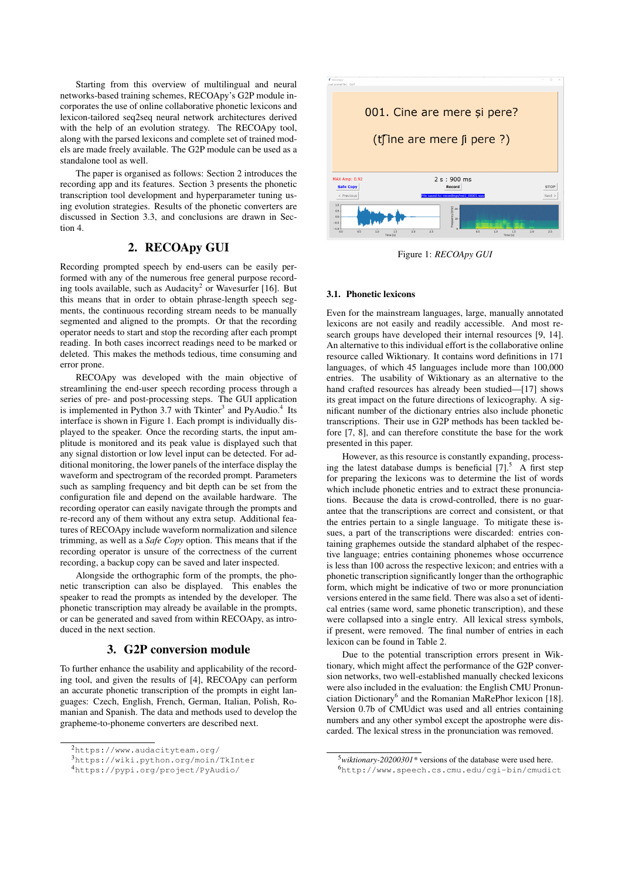Starting from this overview of multilingual and neural networks-based training schemes, RECOApy's G2P module incorporates the use of online collaborative phonetic lexicons and lexicon-tailored seq2seq neural network architectures derived with the help of an evolution strategy. The RECOApy tool, along with the parsed lexicons and complete set of trained models are made freely available. The G2P module can be used as a standalone tool as well.

The paper is organised as follows: Section [2](#page-1-0) introduces the recording app and its features. Section [3](#page-1-1) presents the phonetic transcription tool development and hyperparameter tuning using evolution strategies. Results of the phonetic converters are discussed in Section [3.3,](#page-2-0) and conclusions are drawn in Section [4.](#page-3-0)

## 2. RECOApy GUI

<span id="page-1-0"></span>Recording prompted speech by end-users can be easily performed with any of the numerous free general purpose record-ing tools available, such as Audacity<sup>[2](#page-1-2)</sup> or Wavesurfer [\[16\]](#page-4-15). But this means that in order to obtain phrase-length speech segments, the continuous recording stream needs to be manually segmented and aligned to the prompts. Or that the recording operator needs to start and stop the recording after each prompt reading. In both cases incorrect readings need to be marked or deleted. This makes the methods tedious, time consuming and error prone.

RECOApy was developed with the main objective of streamlining the end-user speech recording process through a series of pre- and post-processing steps. The GUI application is implemented in Python [3](#page-1-3).7 with Tkinter<sup>3</sup> and PyAudio.<sup>[4](#page-1-4)</sup> Its interface is shown in Figure [1.](#page-1-5) Each prompt is individually displayed to the speaker. Once the recording starts, the input amplitude is monitored and its peak value is displayed such that any signal distortion or low level input can be detected. For additional monitoring, the lower panels of the interface display the waveform and spectrogram of the recorded prompt. Parameters such as sampling frequency and bit depth can be set from the configuration file and depend on the available hardware. The recording operator can easily navigate through the prompts and re-record any of them without any extra setup. Additional features of RECOApy include waveform normalization and silence trimming, as well as a *Safe Copy* option. This means that if the recording operator is unsure of the correctness of the current recording, a backup copy can be saved and later inspected.

Alongside the orthographic form of the prompts, the phonetic transcription can also be displayed. This enables the speaker to read the prompts as intended by the developer. The phonetic transcription may already be available in the prompts, or can be generated and saved from within RECOApy, as introduced in the next section.

## 3. G2P conversion module

<span id="page-1-1"></span>To further enhance the usability and applicability of the recording tool, and given the results of [\[4\]](#page-4-3), RECOApy can perform an accurate phonetic transcription of the prompts in eight languages: Czech, English, French, German, Italian, Polish, Romanian and Spanish. The data and methods used to develop the grapheme-to-phoneme converters are described next.

<span id="page-1-5"></span>

Figure 1: *RECOApy GUI*

#### 3.1. Phonetic lexicons

Even for the mainstream languages, large, manually annotated lexicons are not easily and readily accessible. And most research groups have developed their internal resources [\[9,](#page-4-8) [14\]](#page-4-13). An alternative to this individual effort is the collaborative online resource called Wiktionary. It contains word definitions in 171 languages, of which 45 languages include more than 100,000 entries. The usability of Wiktionary as an alternative to the hand crafted resources has already been studied—[\[17\]](#page-4-16) shows its great impact on the future directions of lexicography. A significant number of the dictionary entries also include phonetic transcriptions. Their use in G2P methods has been tackled before [\[7,](#page-4-6) [8\]](#page-4-7), and can therefore constitute the base for the work presented in this paper.

However, as this resource is constantly expanding, processing the latest database dumps is beneficial  $[7]$ <sup>[5](#page-1-6)</sup>. A first step for preparing the lexicons was to determine the list of words which include phonetic entries and to extract these pronunciations. Because the data is crowd-controlled, there is no guarantee that the transcriptions are correct and consistent, or that the entries pertain to a single language. To mitigate these issues, a part of the transcriptions were discarded: entries containing graphemes outside the standard alphabet of the respective language; entries containing phonemes whose occurrence is less than 100 across the respective lexicon; and entries with a phonetic transcription significantly longer than the orthographic form, which might be indicative of two or more pronunciation versions entered in the same field. There was also a set of identical entries (same word, same phonetic transcription), and these were collapsed into a single entry. All lexical stress symbols, if present, were removed. The final number of entries in each lexicon can be found in Table [2.](#page-3-1)

Due to the potential transcription errors present in Wiktionary, which might affect the performance of the G2P conversion networks, two well-established manually checked lexicons were also included in the evaluation: the English CMU Pronun-ciation Dictionary<sup>[6](#page-1-7)</sup> and the Romanian MaRePhor lexicon [\[18\]](#page-4-17). Version 0.7b of CMUdict was used and all entries containing numbers and any other symbol except the apostrophe were discarded. The lexical stress in the pronunciation was removed.

<span id="page-1-2"></span><sup>2</sup><https://www.audacityteam.org/>

<span id="page-1-3"></span><sup>3</sup><https://wiki.python.org/moin/TkInter>

<span id="page-1-4"></span><sup>4</sup><https://pypi.org/project/PyAudio/>

<span id="page-1-7"></span><span id="page-1-6"></span><sup>5</sup>*wiktionary-20200301\** versions of the database were used here. <sup>6</sup><http://www.speech.cs.cmu.edu/cgi-bin/cmudict>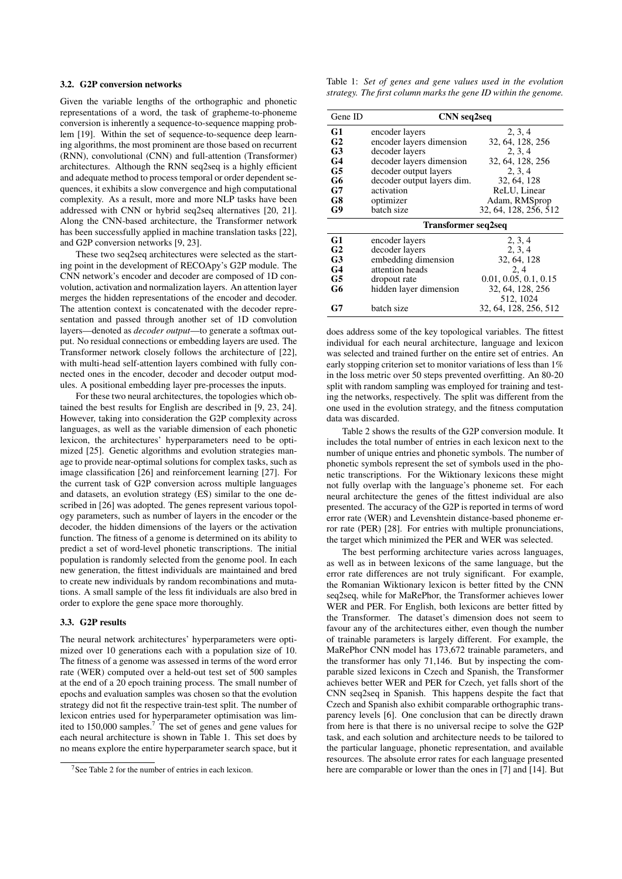### 3.2. G2P conversion networks

Given the variable lengths of the orthographic and phonetic representations of a word, the task of grapheme-to-phoneme conversion is inherently a sequence-to-sequence mapping problem [\[19\]](#page-4-18). Within the set of sequence-to-sequence deep learning algorithms, the most prominent are those based on recurrent (RNN), convolutional (CNN) and full-attention (Transformer) architectures. Although the RNN seq2seq is a highly efficient and adequate method to process temporal or order dependent sequences, it exhibits a slow convergence and high computational complexity. As a result, more and more NLP tasks have been addressed with CNN or hybrid seq2seq alternatives [\[20,](#page-4-19) [21\]](#page-4-20). Along the CNN-based architecture, the Transformer network has been successfully applied in machine translation tasks [\[22\]](#page-4-21), and G2P conversion networks [\[9,](#page-4-8) [23\]](#page-4-22).

These two seq2seq architectures were selected as the starting point in the development of RECOApy's G2P module. The CNN network's encoder and decoder are composed of 1D convolution, activation and normalization layers. An attention layer merges the hidden representations of the encoder and decoder. The attention context is concatenated with the decoder representation and passed through another set of 1D convolution layers—denoted as *decoder output*—to generate a softmax output. No residual connections or embedding layers are used. The Transformer network closely follows the architecture of [\[22\]](#page-4-21), with multi-head self-attention layers combined with fully connected ones in the encoder, decoder and decoder output modules. A positional embedding layer pre-processes the inputs.

For these two neural architectures, the topologies which obtained the best results for English are described in [\[9,](#page-4-8) [23,](#page-4-22) [24\]](#page-4-23). However, taking into consideration the G2P complexity across languages, as well as the variable dimension of each phonetic lexicon, the architectures' hyperparameters need to be optimized [\[25\]](#page-4-24). Genetic algorithms and evolution strategies manage to provide near-optimal solutions for complex tasks, such as image classification [\[26\]](#page-4-25) and reinforcement learning [\[27\]](#page-4-26). For the current task of G2P conversion across multiple languages and datasets, an evolution strategy (ES) similar to the one described in [\[26\]](#page-4-25) was adopted. The genes represent various topology parameters, such as number of layers in the encoder or the decoder, the hidden dimensions of the layers or the activation function. The fitness of a genome is determined on its ability to predict a set of word-level phonetic transcriptions. The initial population is randomly selected from the genome pool. In each new generation, the fittest individuals are maintained and bred to create new individuals by random recombinations and mutations. A small sample of the less fit individuals are also bred in order to explore the gene space more thoroughly.

## <span id="page-2-0"></span>3.3. G2P results

The neural network architectures' hyperparameters were optimized over 10 generations each with a population size of 10. The fitness of a genome was assessed in terms of the word error rate (WER) computed over a held-out test set of 500 samples at the end of a 20 epoch training process. The small number of epochs and evaluation samples was chosen so that the evolution strategy did not fit the respective train-test split. The number of lexicon entries used for hyperparameter optimisation was lim-ited to 150,000 samples.<sup>[7](#page-2-1)</sup> The set of genes and gene values for each neural architecture is shown in Table [1.](#page-2-2) This set does by no means explore the entire hyperparameter search space, but it

<span id="page-2-2"></span>Table 1: *Set of genes and gene values used in the evolution strategy. The first column marks the gene ID within the genome.*

| Gene ID                    | <b>CNN</b> seq2seq         |                       |  |  |  |  |  |  |  |  |
|----------------------------|----------------------------|-----------------------|--|--|--|--|--|--|--|--|
| G1                         | encoder layers             | 2, 3, 4               |  |  |  |  |  |  |  |  |
| G <sub>2</sub>             | encoder layers dimension   | 32, 64, 128, 256      |  |  |  |  |  |  |  |  |
| G <sub>3</sub>             | decoder layers             | 2, 3, 4               |  |  |  |  |  |  |  |  |
| G <sub>4</sub>             | decoder layers dimension   | 32, 64, 128, 256      |  |  |  |  |  |  |  |  |
| G5                         | decoder output layers      | 2, 3, 4               |  |  |  |  |  |  |  |  |
| G6                         | decoder output layers dim. | 32, 64, 128           |  |  |  |  |  |  |  |  |
| G7                         | activation                 | ReLU, Linear          |  |  |  |  |  |  |  |  |
| G8                         | optimizer                  | Adam, RMSprop         |  |  |  |  |  |  |  |  |
| G9                         | batch size                 | 32, 64, 128, 256, 512 |  |  |  |  |  |  |  |  |
| <b>Transformer seq2seq</b> |                            |                       |  |  |  |  |  |  |  |  |
| G1                         | encoder layers             | 2, 3, 4               |  |  |  |  |  |  |  |  |
| G <sub>2</sub>             | decoder layers             | 2, 3, 4               |  |  |  |  |  |  |  |  |
| G <sub>3</sub>             | embedding dimension        | 32, 64, 128           |  |  |  |  |  |  |  |  |
| G <sub>4</sub>             | attention heads            | 2, 4                  |  |  |  |  |  |  |  |  |
| G5                         | dropout rate               | 0.01, 0.05, 0.1, 0.15 |  |  |  |  |  |  |  |  |
| G6                         | hidden layer dimension     | 32, 64, 128, 256      |  |  |  |  |  |  |  |  |
|                            |                            | 512, 1024             |  |  |  |  |  |  |  |  |
| G7                         | batch size                 | 32, 64, 128, 256, 512 |  |  |  |  |  |  |  |  |

does address some of the key topological variables. The fittest individual for each neural architecture, language and lexicon was selected and trained further on the entire set of entries. An early stopping criterion set to monitor variations of less than 1% in the loss metric over 50 steps prevented overfitting. An 80-20 split with random sampling was employed for training and testing the networks, respectively. The split was different from the one used in the evolution strategy, and the fitness computation data was discarded.

Table [2](#page-3-1) shows the results of the G2P conversion module. It includes the total number of entries in each lexicon next to the number of unique entries and phonetic symbols. The number of phonetic symbols represent the set of symbols used in the phonetic transcriptions. For the Wiktionary lexicons these might not fully overlap with the language's phoneme set. For each neural architecture the genes of the fittest individual are also presented. The accuracy of the G2P is reported in terms of word error rate (WER) and Levenshtein distance-based phoneme error rate (PER) [\[28\]](#page-4-27). For entries with multiple pronunciations, the target which minimized the PER and WER was selected.

The best performing architecture varies across languages, as well as in between lexicons of the same language, but the error rate differences are not truly significant. For example, the Romanian Wiktionary lexicon is better fitted by the CNN seq2seq, while for MaRePhor, the Transformer achieves lower WER and PER. For English, both lexicons are better fitted by the Transformer. The dataset's dimension does not seem to favour any of the architectures either, even though the number of trainable parameters is largely different. For example, the MaRePhor CNN model has 173,672 trainable parameters, and the transformer has only 71,146. But by inspecting the comparable sized lexicons in Czech and Spanish, the Transformer achieves better WER and PER for Czech, yet falls short of the CNN seq2seq in Spanish. This happens despite the fact that Czech and Spanish also exhibit comparable orthographic transparency levels [\[6\]](#page-4-5). One conclusion that can be directly drawn from here is that there is no universal recipe to solve the G2P task, and each solution and architecture needs to be tailored to the particular language, phonetic representation, and available resources. The absolute error rates for each language presented here are comparable or lower than the ones in [\[7\]](#page-4-6) and [\[14\]](#page-4-13). But

<span id="page-2-1"></span> $7$ See Table [2](#page-3-1) for the number of entries in each lexicon.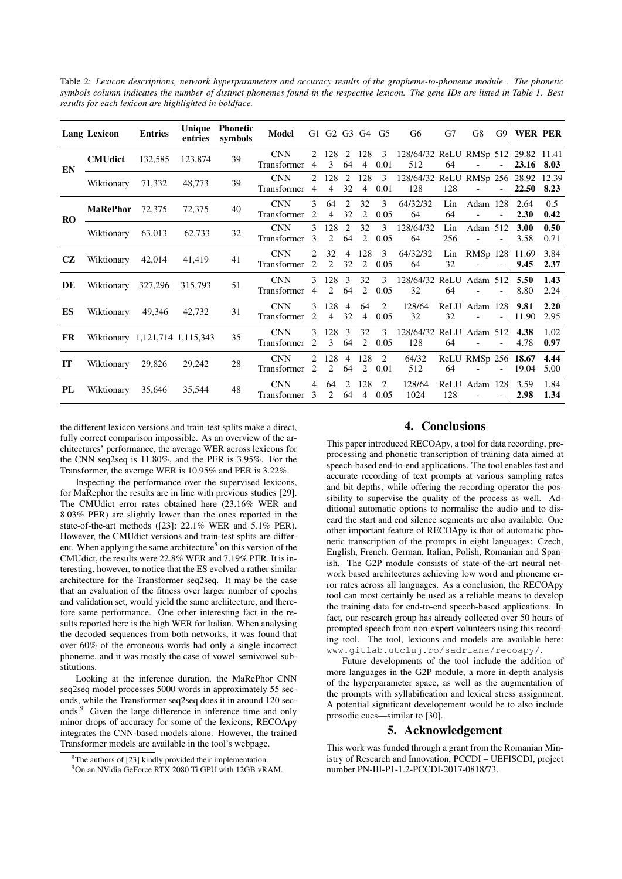<span id="page-3-1"></span>Table 2: *Lexicon descriptions, network hyperparameters and accuracy results of the grapheme-to-phoneme module . The phonetic symbols column indicates the number of distinct phonemes found in the respective lexicon. The gene IDs are listed in Table [1.](#page-2-2) Best results for each lexicon are highlighted in boldface.*

|           | <b>Lang Lexicon</b>            | <b>Entries</b> | Unique<br>entries | <b>Phonetic</b><br>symbols | Model                     |                     |                       |                      |                       | G1 G2 G3 G4 G5         | G6                                           | G7         | G8                                         |                          | G9   WER PER  |              |
|-----------|--------------------------------|----------------|-------------------|----------------------------|---------------------------|---------------------|-----------------------|----------------------|-----------------------|------------------------|----------------------------------------------|------------|--------------------------------------------|--------------------------|---------------|--------------|
| EN        | <b>CMUdict</b>                 | 132,585        | 123,874           | 39                         | <b>CNN</b><br>Transformer | 2<br>4              | 128<br>3              | -2<br>64             | 128<br>$\overline{4}$ | 0.01                   | 3 128/64/32 ReLU RMSp 512 29.82 11.41<br>512 | 64         |                                            | $\sim$                   | 23.16 8.03    |              |
|           | Wiktionary                     | 71,332         | 48,773            | 39                         | <b>CNN</b><br>Transformer | 2<br>4              | 128<br>$\overline{4}$ | 2<br>32              | 128<br>$\overline{4}$ | $\overline{3}$<br>0.01 | 128/64/32 ReLU RMSp 256 28.92 12.39<br>128   | 128        | $\sim$                                     |                          | 22.50         | 8.23         |
| <b>RO</b> | <b>MaRePhor</b> 72,375         |                | 72,375            | 40                         | <b>CNN</b><br>Transformer | 3<br>2              | 64<br>4               | 2<br>32              | 32<br>2               | 3<br>0.05              | 64/32/32<br>64                               | Lin<br>64  | Adam 128                                   | $\overline{\phantom{a}}$ | 2.64<br>2.30  | 0.5<br>0.42  |
|           | Wiktionary                     | 63,013         | 62,733            | 32                         | <b>CNN</b><br>Transformer | 3<br>$\mathcal{E}$  | 128<br>$\overline{2}$ | 2<br>64              | 32<br>2               | 3<br>0.05              | 128/64/32<br>64                              | Lin<br>256 | Adam 512                                   |                          | 3.00<br>3.58  | 0.50<br>0.71 |
| CZ.       | Wiktionary 42,014              |                | 41,419            | 41                         | <b>CNN</b><br>Transformer | 2<br>2              | 32<br>2               | $\overline{4}$<br>32 | 128<br>2              | 3<br>0.05              | 64/32/32<br>64                               | Lin<br>32  | RMSp 128 11.69<br>$\Delta \sim 100$        | $\sim$                   | 9.45          | 3.84<br>2.37 |
| DE        | Wiktionary 327,296             |                | 315,793           | 51                         | <b>CNN</b><br>Transformer | 3<br>$\overline{4}$ | 128<br>2              | 3<br>64              | 32<br>2               | 3<br>0.05              | 128/64/32 ReLU Adam 512<br>32                | 64         |                                            | $\overline{\phantom{a}}$ | 5.50<br>8.80  | 1.43<br>2.24 |
| ES        | Wiktionary                     | 49,346 42,732  |                   | 31                         | <b>CNN</b><br>Transformer | 3<br>2              | 128<br>4              | $\overline{4}$<br>32 | 64<br>4               | 2<br>0.05              | 128/64<br>32                                 | 32         | ReLU Adam 128<br>$\overline{\phantom{a}}$  | $\overline{\phantom{a}}$ | 9.81<br>11.90 | 2.20<br>2.95 |
| FR.       | Wiktionary 1,121,714 1,115,343 |                |                   | 35                         | <b>CNN</b><br>Transformer | 3<br>2              | 128<br>3              | $\mathcal{F}$<br>64  | 32<br>2               | 3<br>0.05              | 128/64/32 ReLU Adam 512<br>128               | 64         |                                            | $\sim$                   | 4.38<br>4.78  | 1.02<br>0.97 |
| IT        | Wiktionary 29,826              |                | 29,242            | 28                         | <b>CNN</b><br>Transformer | 2<br>2              | 128<br>2              | $\overline{4}$<br>64 | 128<br>2              | 2<br>0.01              | 64/32<br>512                                 | 64         | ReLU RMSp 256 18.67<br>$\omega_{\rm{max}}$ | $\sim$                   | 19.04         | 4.44<br>5.00 |
| PL        | Wiktionary 35,646              |                | 35,544            | 48                         | <b>CNN</b><br>Transformer | 4<br>3              | 64<br>2               | 2<br>64              | 128<br>4              | 2<br>0.05              | 128/64<br>1024                               | 128        | ReLU Adam 128<br>$\overline{\phantom{a}}$  | $\sim$                   | 3.59<br>2.98  | 1.84<br>1.34 |

the different lexicon versions and train-test splits make a direct, fully correct comparison impossible. As an overview of the architectures' performance, the average WER across lexicons for the CNN seq2seq is 11.80%, and the PER is 3.95%. For the Transformer, the average WER is 10.95% and PER is 3.22%.

Inspecting the performance over the supervised lexicons, for MaRephor the results are in line with previous studies [\[29\]](#page-4-28). The CMUdict error rates obtained here (23.16% WER and 8.03% PER) are slightly lower than the ones reported in the state-of-the-art methods ([\[23\]](#page-4-22): 22.1% WER and 5.1% PER). However, the CMUdict versions and train-test splits are differ-ent. When applying the same architecture<sup>[8](#page-3-2)</sup> on this version of the CMUdict, the results were 22.8% WER and 7.19% PER. It is interesting, however, to notice that the ES evolved a rather similar architecture for the Transformer seq2seq. It may be the case that an evaluation of the fitness over larger number of epochs and validation set, would yield the same architecture, and therefore same performance. One other interesting fact in the results reported here is the high WER for Italian. When analysing the decoded sequences from both networks, it was found that over 60% of the erroneous words had only a single incorrect phoneme, and it was mostly the case of vowel-semivowel substitutions.

Looking at the inference duration, the MaRePhor CNN seq2seq model processes 5000 words in approximately 55 seconds, while the Transformer seq2seq does it in around 120 sec-onds.<sup>[9](#page-3-3)</sup> Given the large difference in inference time and only minor drops of accuracy for some of the lexicons, RECOApy integrates the CNN-based models alone. However, the trained Transformer models are available in the tool's webpage.

### 4. Conclusions

<span id="page-3-0"></span>This paper introduced RECOApy, a tool for data recording, preprocessing and phonetic transcription of training data aimed at speech-based end-to-end applications. The tool enables fast and accurate recording of text prompts at various sampling rates and bit depths, while offering the recording operator the possibility to supervise the quality of the process as well. Additional automatic options to normalise the audio and to discard the start and end silence segments are also available. One other important feature of RECOApy is that of automatic phonetic transcription of the prompts in eight languages: Czech, English, French, German, Italian, Polish, Romanian and Spanish. The G2P module consists of state-of-the-art neural network based architectures achieving low word and phoneme error rates across all languages. As a conclusion, the RECOApy tool can most certainly be used as a reliable means to develop the training data for end-to-end speech-based applications. In fact, our research group has already collected over 50 hours of prompted speech from non-expert volunteers using this recording tool. The tool, lexicons and models are available here: <www.gitlab.utcluj.ro/sadriana/recoapy/>.

Future developments of the tool include the addition of more languages in the G2P module, a more in-depth analysis of the hyperparameter space, as well as the augmentation of the prompts with syllabification and lexical stress assignment. A potential significant developement would be to also include prosodic cues—similar to [\[30\]](#page-4-29).

## 5. Acknowledgement

This work was funded through a grant from the Romanian Ministry of Research and Innovation, PCCDI – UEFISCDI, project number PN-III-P1-1.2-PCCDI-2017-0818/73.

<span id="page-3-2"></span><sup>8</sup>The authors of [\[23\]](#page-4-22) kindly provided their implementation.

<span id="page-3-3"></span><sup>9</sup>On an NVidia GeForce RTX 2080 Ti GPU with 12GB vRAM.